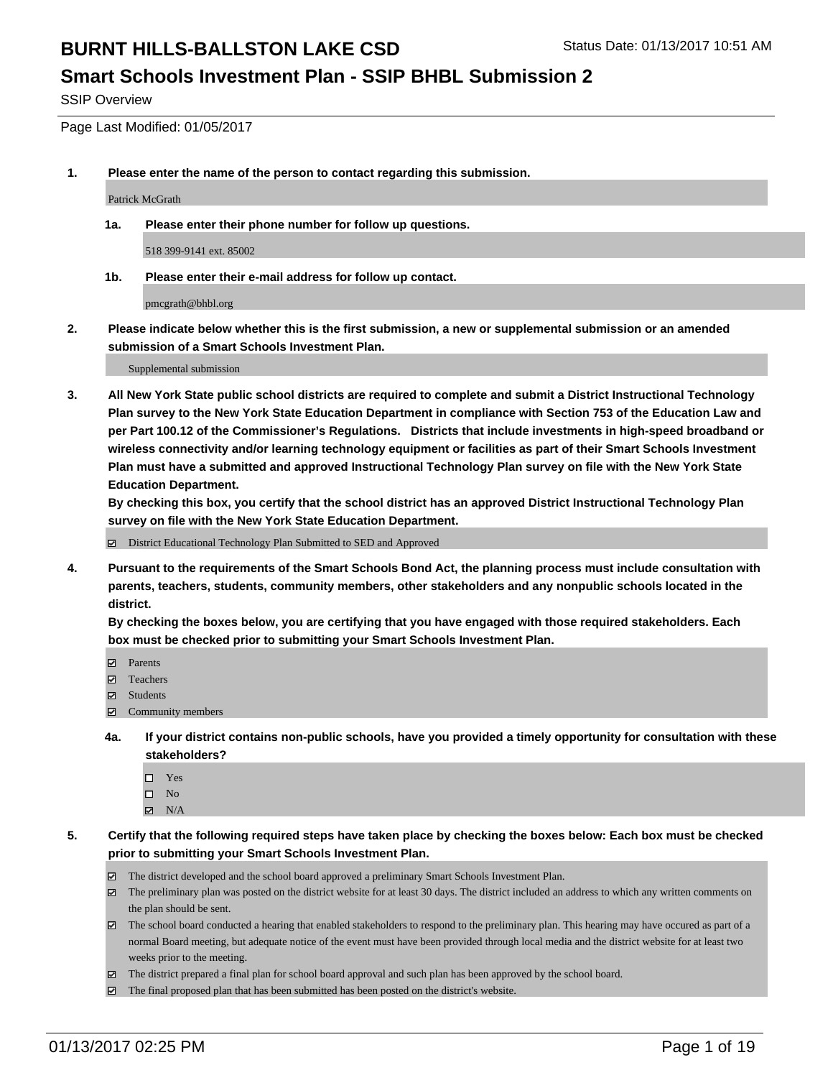### **Smart Schools Investment Plan - SSIP BHBL Submission 2**

SSIP Overview

Page Last Modified: 01/05/2017

**1. Please enter the name of the person to contact regarding this submission.**

Patrick McGrath

**1a. Please enter their phone number for follow up questions.**

518 399-9141 ext. 85002

**1b. Please enter their e-mail address for follow up contact.**

pmcgrath@bhbl.org

**2. Please indicate below whether this is the first submission, a new or supplemental submission or an amended submission of a Smart Schools Investment Plan.**

Supplemental submission

**3. All New York State public school districts are required to complete and submit a District Instructional Technology Plan survey to the New York State Education Department in compliance with Section 753 of the Education Law and per Part 100.12 of the Commissioner's Regulations. Districts that include investments in high-speed broadband or wireless connectivity and/or learning technology equipment or facilities as part of their Smart Schools Investment Plan must have a submitted and approved Instructional Technology Plan survey on file with the New York State Education Department.** 

**By checking this box, you certify that the school district has an approved District Instructional Technology Plan survey on file with the New York State Education Department.**

District Educational Technology Plan Submitted to SED and Approved

**4. Pursuant to the requirements of the Smart Schools Bond Act, the planning process must include consultation with parents, teachers, students, community members, other stakeholders and any nonpublic schools located in the district.** 

**By checking the boxes below, you are certifying that you have engaged with those required stakeholders. Each box must be checked prior to submitting your Smart Schools Investment Plan.**

- **Parents**
- Teachers
- **冈** Students
- Community members
- **4a. If your district contains non-public schools, have you provided a timely opportunity for consultation with these stakeholders?**
	- □ Yes
	- $\square$  No
	- $\boxtimes$  N/A
- **5. Certify that the following required steps have taken place by checking the boxes below: Each box must be checked prior to submitting your Smart Schools Investment Plan.**
	- The district developed and the school board approved a preliminary Smart Schools Investment Plan.
	- The preliminary plan was posted on the district website for at least 30 days. The district included an address to which any written comments on the plan should be sent.
	- The school board conducted a hearing that enabled stakeholders to respond to the preliminary plan. This hearing may have occured as part of a normal Board meeting, but adequate notice of the event must have been provided through local media and the district website for at least two weeks prior to the meeting.
	- The district prepared a final plan for school board approval and such plan has been approved by the school board.
	- $\boxtimes$  The final proposed plan that has been submitted has been posted on the district's website.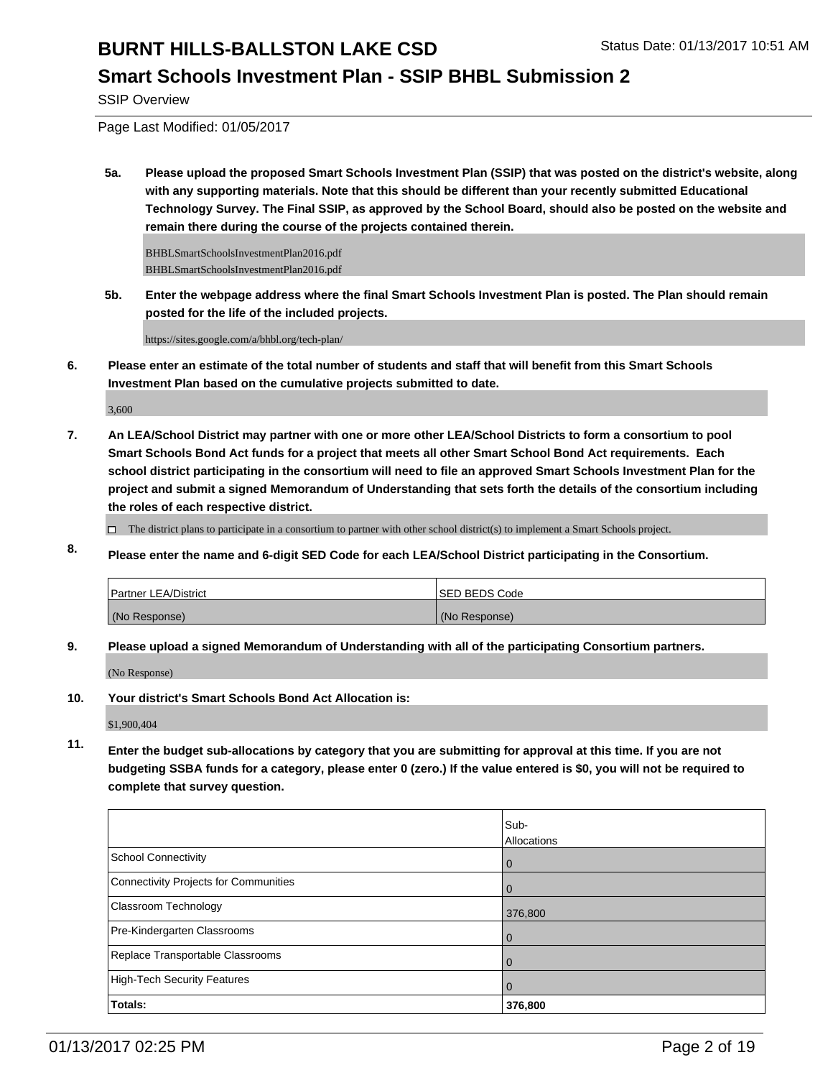### **Smart Schools Investment Plan - SSIP BHBL Submission 2**

SSIP Overview

Page Last Modified: 01/05/2017

**5a. Please upload the proposed Smart Schools Investment Plan (SSIP) that was posted on the district's website, along with any supporting materials. Note that this should be different than your recently submitted Educational Technology Survey. The Final SSIP, as approved by the School Board, should also be posted on the website and remain there during the course of the projects contained therein.**

BHBLSmartSchoolsInvestmentPlan2016.pdf BHBLSmartSchoolsInvestmentPlan2016.pdf

**5b. Enter the webpage address where the final Smart Schools Investment Plan is posted. The Plan should remain posted for the life of the included projects.**

https://sites.google.com/a/bhbl.org/tech-plan/

**6. Please enter an estimate of the total number of students and staff that will benefit from this Smart Schools Investment Plan based on the cumulative projects submitted to date.**

3,600

**7. An LEA/School District may partner with one or more other LEA/School Districts to form a consortium to pool Smart Schools Bond Act funds for a project that meets all other Smart School Bond Act requirements. Each school district participating in the consortium will need to file an approved Smart Schools Investment Plan for the project and submit a signed Memorandum of Understanding that sets forth the details of the consortium including the roles of each respective district.**

 $\Box$  The district plans to participate in a consortium to partner with other school district(s) to implement a Smart Schools project.

**8. Please enter the name and 6-digit SED Code for each LEA/School District participating in the Consortium.**

| Partner LEA/District | <b>ISED BEDS Code</b> |
|----------------------|-----------------------|
| (No Response)        | (No Response)         |

**9. Please upload a signed Memorandum of Understanding with all of the participating Consortium partners.**

(No Response)

**10. Your district's Smart Schools Bond Act Allocation is:**

\$1,900,404

**11. Enter the budget sub-allocations by category that you are submitting for approval at this time. If you are not budgeting SSBA funds for a category, please enter 0 (zero.) If the value entered is \$0, you will not be required to complete that survey question.**

|                                       | Sub-<br>Allocations |
|---------------------------------------|---------------------|
| School Connectivity                   | $\overline{0}$      |
| Connectivity Projects for Communities | $\Omega$            |
| <b>Classroom Technology</b>           | 376,800             |
| Pre-Kindergarten Classrooms           | $\overline{0}$      |
| Replace Transportable Classrooms      | $\mathbf 0$         |
| High-Tech Security Features           | 0                   |
| Totals:                               | 376,800             |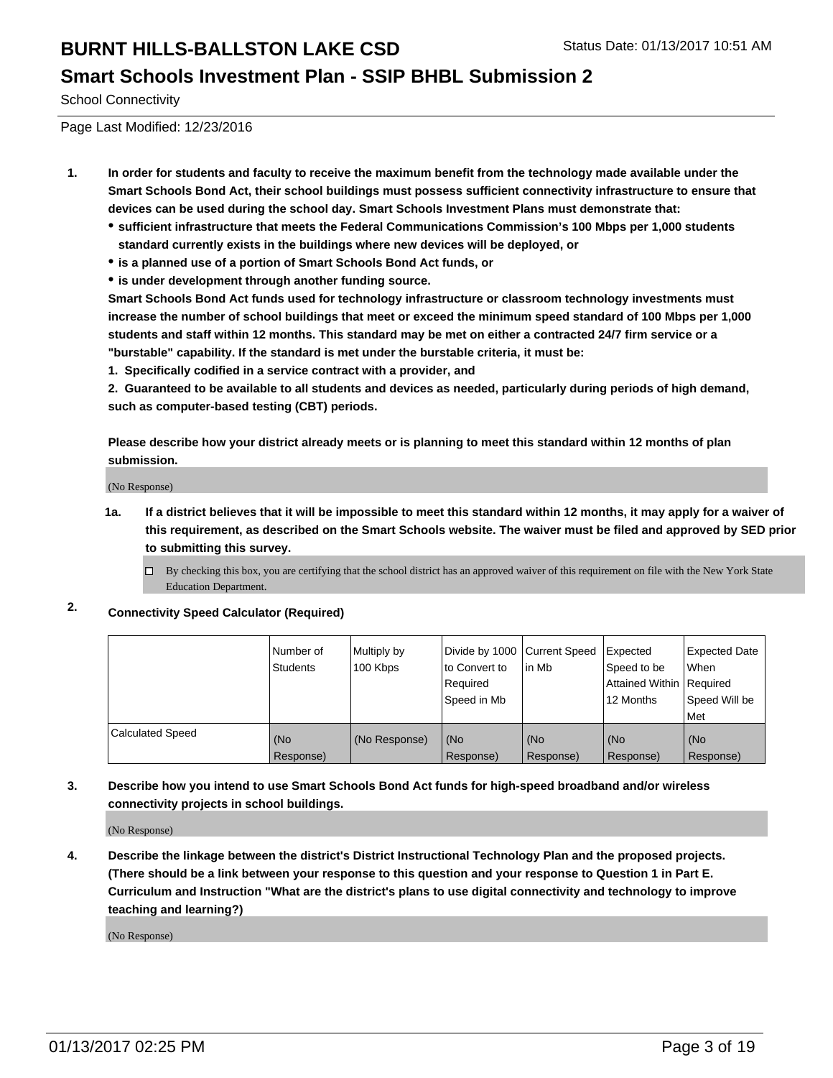### **Smart Schools Investment Plan - SSIP BHBL Submission 2**

School Connectivity

Page Last Modified: 12/23/2016

- **1. In order for students and faculty to receive the maximum benefit from the technology made available under the Smart Schools Bond Act, their school buildings must possess sufficient connectivity infrastructure to ensure that devices can be used during the school day. Smart Schools Investment Plans must demonstrate that:**
	- **sufficient infrastructure that meets the Federal Communications Commission's 100 Mbps per 1,000 students standard currently exists in the buildings where new devices will be deployed, or**
	- **is a planned use of a portion of Smart Schools Bond Act funds, or**
	- **is under development through another funding source.**

**Smart Schools Bond Act funds used for technology infrastructure or classroom technology investments must increase the number of school buildings that meet or exceed the minimum speed standard of 100 Mbps per 1,000 students and staff within 12 months. This standard may be met on either a contracted 24/7 firm service or a "burstable" capability. If the standard is met under the burstable criteria, it must be:**

**1. Specifically codified in a service contract with a provider, and**

**2. Guaranteed to be available to all students and devices as needed, particularly during periods of high demand, such as computer-based testing (CBT) periods.**

**Please describe how your district already meets or is planning to meet this standard within 12 months of plan submission.**

(No Response)

**1a. If a district believes that it will be impossible to meet this standard within 12 months, it may apply for a waiver of this requirement, as described on the Smart Schools website. The waiver must be filed and approved by SED prior to submitting this survey.**

 $\Box$ By checking this box, you are certifying that the school district has an approved waiver of this requirement on file with the New York State Education Department.

**2. Connectivity Speed Calculator (Required)**

|                         | l Number of<br>Students | Multiply by<br>100 Kbps | Divide by 1000   Current Speed<br>to Convert to<br>Reauired<br>Speed in Mb | in Mb            | Expected<br>Speed to be<br>Attained Within   Required<br>12 Months | <b>Expected Date</b><br>l When<br>Speed Will be<br>Met |
|-------------------------|-------------------------|-------------------------|----------------------------------------------------------------------------|------------------|--------------------------------------------------------------------|--------------------------------------------------------|
| <b>Calculated Speed</b> | (No<br>Response)        | (No Response)           | (No<br>Response)                                                           | (No<br>Response) | (No<br>Response)                                                   | l (No<br>Response)                                     |

**3. Describe how you intend to use Smart Schools Bond Act funds for high-speed broadband and/or wireless connectivity projects in school buildings.**

(No Response)

**4. Describe the linkage between the district's District Instructional Technology Plan and the proposed projects. (There should be a link between your response to this question and your response to Question 1 in Part E. Curriculum and Instruction "What are the district's plans to use digital connectivity and technology to improve teaching and learning?)**

(No Response)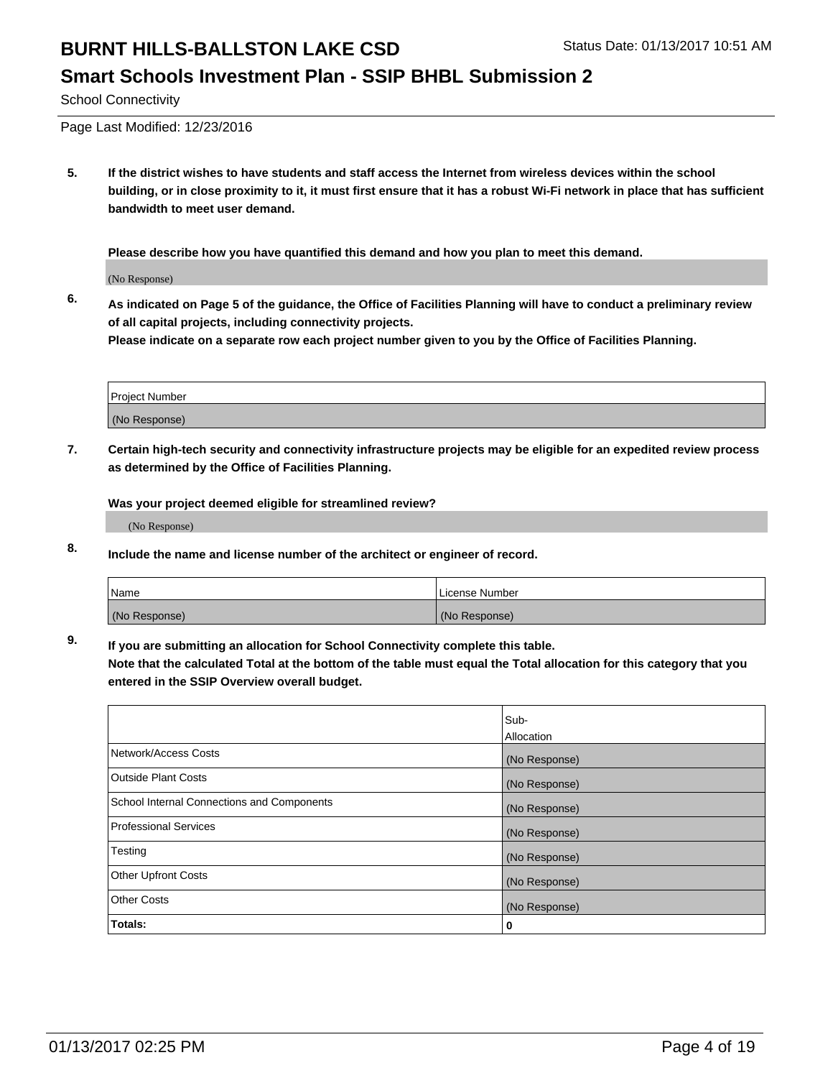### **Smart Schools Investment Plan - SSIP BHBL Submission 2**

School Connectivity

Page Last Modified: 12/23/2016

**5. If the district wishes to have students and staff access the Internet from wireless devices within the school building, or in close proximity to it, it must first ensure that it has a robust Wi-Fi network in place that has sufficient bandwidth to meet user demand.**

**Please describe how you have quantified this demand and how you plan to meet this demand.**

(No Response)

**6. As indicated on Page 5 of the guidance, the Office of Facilities Planning will have to conduct a preliminary review of all capital projects, including connectivity projects.**

**Please indicate on a separate row each project number given to you by the Office of Facilities Planning.**

| Project Number |  |
|----------------|--|
|                |  |
| (No Response)  |  |

**7. Certain high-tech security and connectivity infrastructure projects may be eligible for an expedited review process as determined by the Office of Facilities Planning.**

**Was your project deemed eligible for streamlined review?**

(No Response)

**8. Include the name and license number of the architect or engineer of record.**

| <b>Name</b>   | License Number |
|---------------|----------------|
| (No Response) | (No Response)  |

**9. If you are submitting an allocation for School Connectivity complete this table.**

**Note that the calculated Total at the bottom of the table must equal the Total allocation for this category that you entered in the SSIP Overview overall budget.** 

|                                            | Sub-              |
|--------------------------------------------|-------------------|
|                                            | <b>Allocation</b> |
| Network/Access Costs                       | (No Response)     |
| <b>Outside Plant Costs</b>                 | (No Response)     |
| School Internal Connections and Components | (No Response)     |
| <b>Professional Services</b>               | (No Response)     |
| Testing                                    | (No Response)     |
| <b>Other Upfront Costs</b>                 | (No Response)     |
| <b>Other Costs</b>                         | (No Response)     |
| Totals:                                    | 0                 |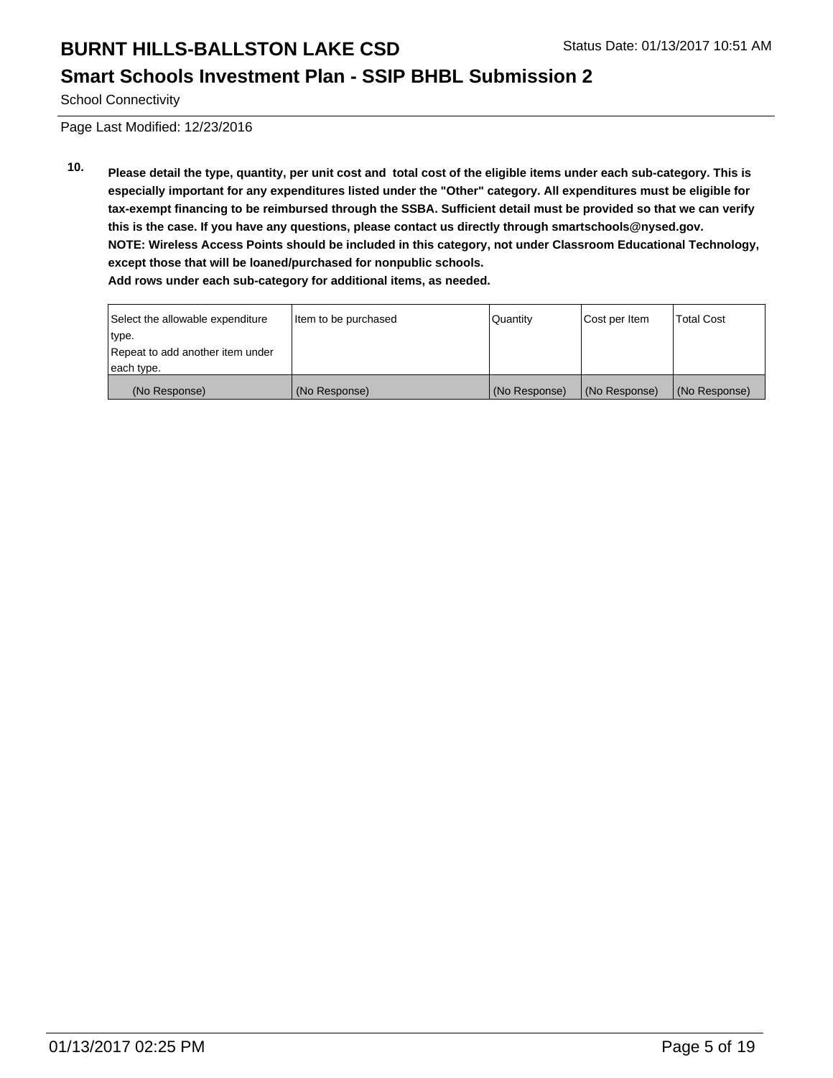### **Smart Schools Investment Plan - SSIP BHBL Submission 2**

School Connectivity

Page Last Modified: 12/23/2016

**10. Please detail the type, quantity, per unit cost and total cost of the eligible items under each sub-category. This is especially important for any expenditures listed under the "Other" category. All expenditures must be eligible for tax-exempt financing to be reimbursed through the SSBA. Sufficient detail must be provided so that we can verify this is the case. If you have any questions, please contact us directly through smartschools@nysed.gov. NOTE: Wireless Access Points should be included in this category, not under Classroom Educational Technology, except those that will be loaned/purchased for nonpublic schools. Add rows under each sub-category for additional items, as needed.**

| Select the allowable expenditure | Item to be purchased | l Quantitv    | Cost per Item | <b>Total Cost</b> |
|----------------------------------|----------------------|---------------|---------------|-------------------|
| type.                            |                      |               |               |                   |
| Repeat to add another item under |                      |               |               |                   |
| each type.                       |                      |               |               |                   |
| (No Response)                    | (No Response)        | (No Response) | (No Response) | (No Response)     |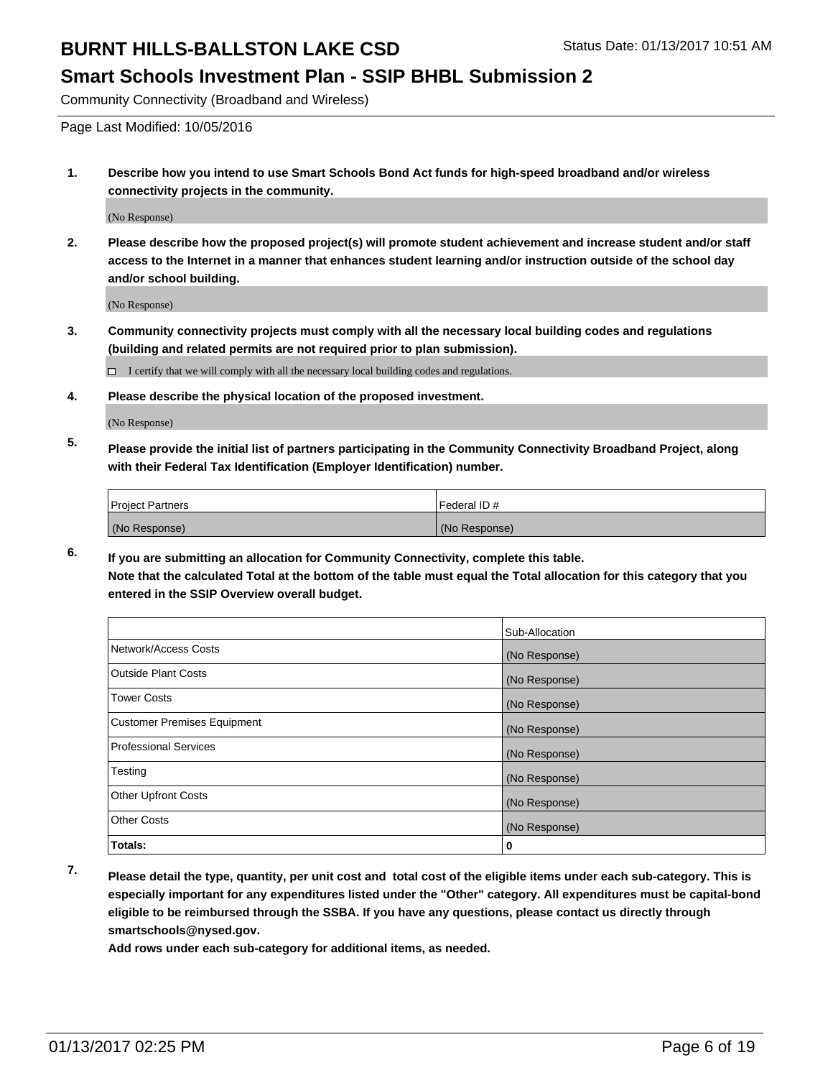### **Smart Schools Investment Plan - SSIP BHBL Submission 2**

Community Connectivity (Broadband and Wireless)

Page Last Modified: 10/05/2016

**1. Describe how you intend to use Smart Schools Bond Act funds for high-speed broadband and/or wireless connectivity projects in the community.**

(No Response)

**2. Please describe how the proposed project(s) will promote student achievement and increase student and/or staff access to the Internet in a manner that enhances student learning and/or instruction outside of the school day and/or school building.**

(No Response)

**3. Community connectivity projects must comply with all the necessary local building codes and regulations (building and related permits are not required prior to plan submission).**

 $\Box$  I certify that we will comply with all the necessary local building codes and regulations.

**4. Please describe the physical location of the proposed investment.**

(No Response)

**5. Please provide the initial list of partners participating in the Community Connectivity Broadband Project, along with their Federal Tax Identification (Employer Identification) number.**

| <b>Project Partners</b> | <b>IFederal ID#</b> |
|-------------------------|---------------------|
| (No Response)           | (No Response)       |

**6. If you are submitting an allocation for Community Connectivity, complete this table. Note that the calculated Total at the bottom of the table must equal the Total allocation for this category that you entered in the SSIP Overview overall budget.**

|                                    | Sub-Allocation |
|------------------------------------|----------------|
| Network/Access Costs               | (No Response)  |
| <b>Outside Plant Costs</b>         | (No Response)  |
| <b>Tower Costs</b>                 | (No Response)  |
| <b>Customer Premises Equipment</b> | (No Response)  |
| <b>Professional Services</b>       | (No Response)  |
| Testing                            | (No Response)  |
| <b>Other Upfront Costs</b>         | (No Response)  |
| <b>Other Costs</b>                 | (No Response)  |
| Totals:                            | 0              |

**7. Please detail the type, quantity, per unit cost and total cost of the eligible items under each sub-category. This is especially important for any expenditures listed under the "Other" category. All expenditures must be capital-bond eligible to be reimbursed through the SSBA. If you have any questions, please contact us directly through smartschools@nysed.gov.**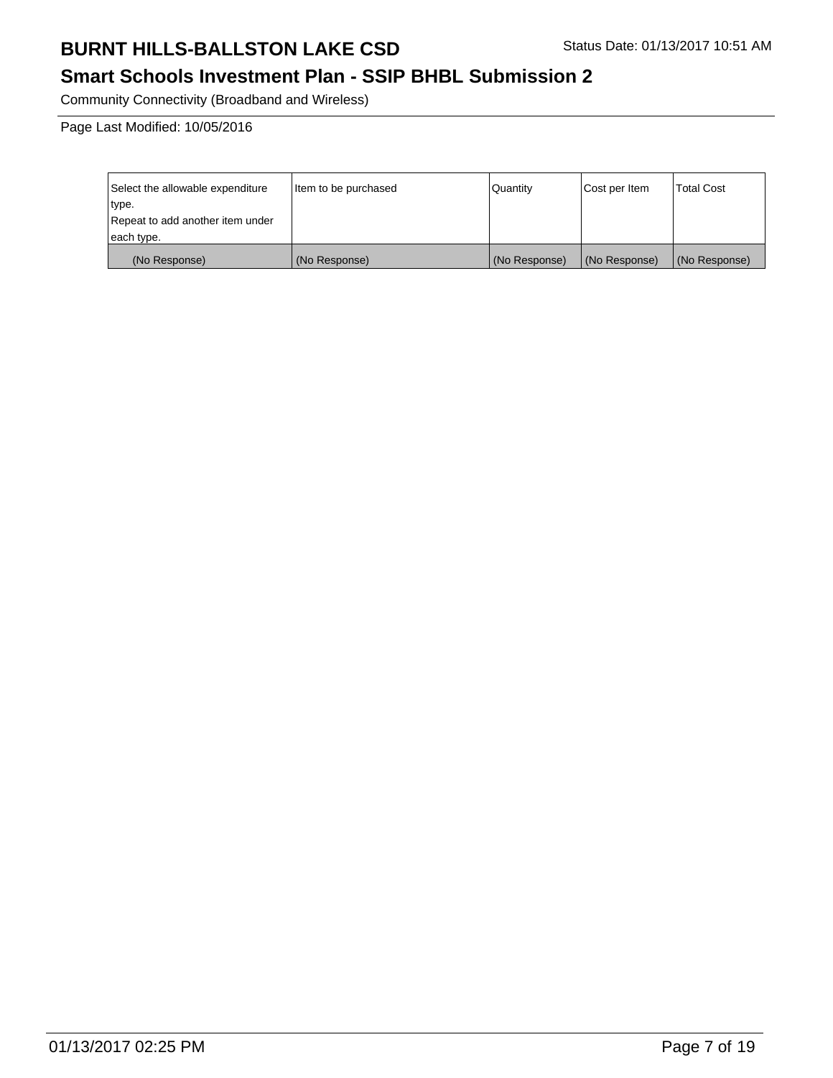# **Smart Schools Investment Plan - SSIP BHBL Submission 2**

Community Connectivity (Broadband and Wireless)

Page Last Modified: 10/05/2016

| Select the allowable expenditure | Item to be purchased | Quantity      | Cost per Item | <b>Total Cost</b> |
|----------------------------------|----------------------|---------------|---------------|-------------------|
| type.                            |                      |               |               |                   |
| Repeat to add another item under |                      |               |               |                   |
| each type.                       |                      |               |               |                   |
| (No Response)                    | (No Response)        | (No Response) | (No Response) | (No Response)     |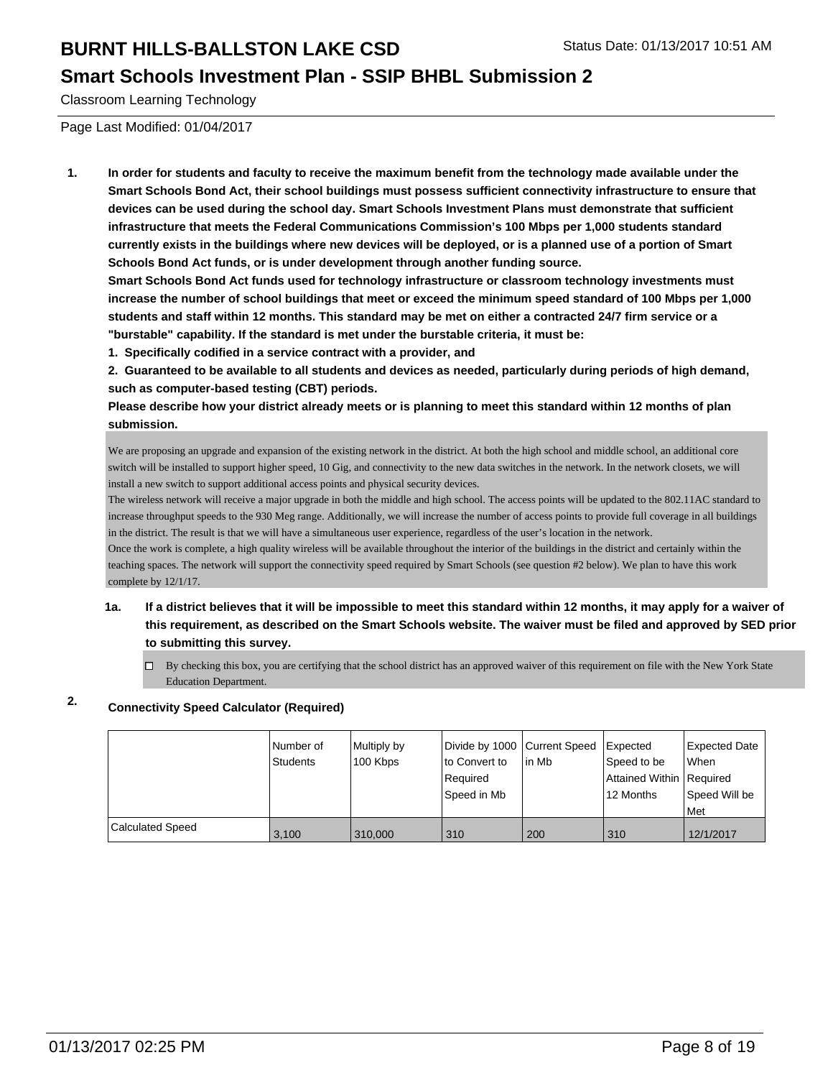### **Smart Schools Investment Plan - SSIP BHBL Submission 2**

Classroom Learning Technology

Page Last Modified: 01/04/2017

**1. In order for students and faculty to receive the maximum benefit from the technology made available under the Smart Schools Bond Act, their school buildings must possess sufficient connectivity infrastructure to ensure that devices can be used during the school day. Smart Schools Investment Plans must demonstrate that sufficient infrastructure that meets the Federal Communications Commission's 100 Mbps per 1,000 students standard currently exists in the buildings where new devices will be deployed, or is a planned use of a portion of Smart Schools Bond Act funds, or is under development through another funding source.**

**Smart Schools Bond Act funds used for technology infrastructure or classroom technology investments must increase the number of school buildings that meet or exceed the minimum speed standard of 100 Mbps per 1,000 students and staff within 12 months. This standard may be met on either a contracted 24/7 firm service or a "burstable" capability. If the standard is met under the burstable criteria, it must be:**

**1. Specifically codified in a service contract with a provider, and**

**2. Guaranteed to be available to all students and devices as needed, particularly during periods of high demand, such as computer-based testing (CBT) periods.**

**Please describe how your district already meets or is planning to meet this standard within 12 months of plan submission.**

We are proposing an upgrade and expansion of the existing network in the district. At both the high school and middle school, an additional core switch will be installed to support higher speed, 10 Gig, and connectivity to the new data switches in the network. In the network closets, we will install a new switch to support additional access points and physical security devices.

The wireless network will receive a major upgrade in both the middle and high school. The access points will be updated to the 802.11AC standard to increase throughput speeds to the 930 Meg range. Additionally, we will increase the number of access points to provide full coverage in all buildings in the district. The result is that we will have a simultaneous user experience, regardless of the user's location in the network.

Once the work is complete, a high quality wireless will be available throughout the interior of the buildings in the district and certainly within the teaching spaces. The network will support the connectivity speed required by Smart Schools (see question #2 below). We plan to have this work complete by 12/1/17.

- **1a. If a district believes that it will be impossible to meet this standard within 12 months, it may apply for a waiver of this requirement, as described on the Smart Schools website. The waiver must be filed and approved by SED prior to submitting this survey.**
	- $\Box$  By checking this box, you are certifying that the school district has an approved waiver of this requirement on file with the New York State Education Department.

### **2. Connectivity Speed Calculator (Required)**

|                         | INumber of<br><b>Students</b> | Multiply by<br>100 Kbps | Divide by 1000 Current Speed<br>lto Convert to<br>Required<br>Speed in Mb | l in Mb | Expected<br>Speed to be<br>Attained Within Required<br>12 Months | <b>Expected Date</b><br><b>When</b><br>Speed Will be<br>l Met |
|-------------------------|-------------------------------|-------------------------|---------------------------------------------------------------------------|---------|------------------------------------------------------------------|---------------------------------------------------------------|
| <b>Calculated Speed</b> | 3.100                         | 310,000                 | 310                                                                       | 200     | 310                                                              | 12/1/2017                                                     |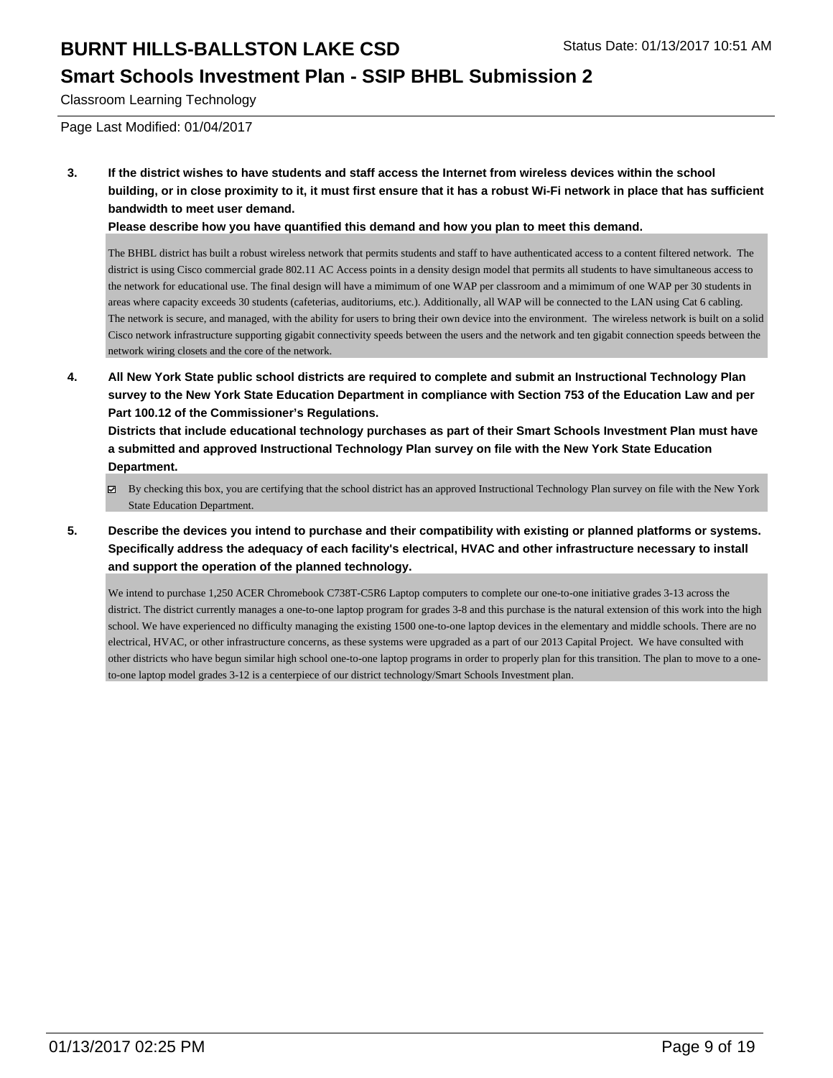### **Smart Schools Investment Plan - SSIP BHBL Submission 2**

Classroom Learning Technology

Page Last Modified: 01/04/2017

**3. If the district wishes to have students and staff access the Internet from wireless devices within the school building, or in close proximity to it, it must first ensure that it has a robust Wi-Fi network in place that has sufficient bandwidth to meet user demand.**

**Please describe how you have quantified this demand and how you plan to meet this demand.**

The BHBL district has built a robust wireless network that permits students and staff to have authenticated access to a content filtered network. The district is using Cisco commercial grade 802.11 AC Access points in a density design model that permits all students to have simultaneous access to the network for educational use. The final design will have a mimimum of one WAP per classroom and a mimimum of one WAP per 30 students in areas where capacity exceeds 30 students (cafeterias, auditoriums, etc.). Additionally, all WAP will be connected to the LAN using Cat 6 cabling. The network is secure, and managed, with the ability for users to bring their own device into the environment. The wireless network is built on a solid Cisco network infrastructure supporting gigabit connectivity speeds between the users and the network and ten gigabit connection speeds between the network wiring closets and the core of the network.

**4. All New York State public school districts are required to complete and submit an Instructional Technology Plan survey to the New York State Education Department in compliance with Section 753 of the Education Law and per Part 100.12 of the Commissioner's Regulations.**

**Districts that include educational technology purchases as part of their Smart Schools Investment Plan must have a submitted and approved Instructional Technology Plan survey on file with the New York State Education Department.**

- By checking this box, you are certifying that the school district has an approved Instructional Technology Plan survey on file with the New York State Education Department.
- **5. Describe the devices you intend to purchase and their compatibility with existing or planned platforms or systems. Specifically address the adequacy of each facility's electrical, HVAC and other infrastructure necessary to install and support the operation of the planned technology.**

We intend to purchase 1,250 ACER Chromebook C738T-C5R6 Laptop computers to complete our one-to-one initiative grades 3-13 across the district. The district currently manages a one-to-one laptop program for grades 3-8 and this purchase is the natural extension of this work into the high school. We have experienced no difficulty managing the existing 1500 one-to-one laptop devices in the elementary and middle schools. There are no electrical, HVAC, or other infrastructure concerns, as these systems were upgraded as a part of our 2013 Capital Project. We have consulted with other districts who have begun similar high school one-to-one laptop programs in order to properly plan for this transition. The plan to move to a oneto-one laptop model grades 3-12 is a centerpiece of our district technology/Smart Schools Investment plan.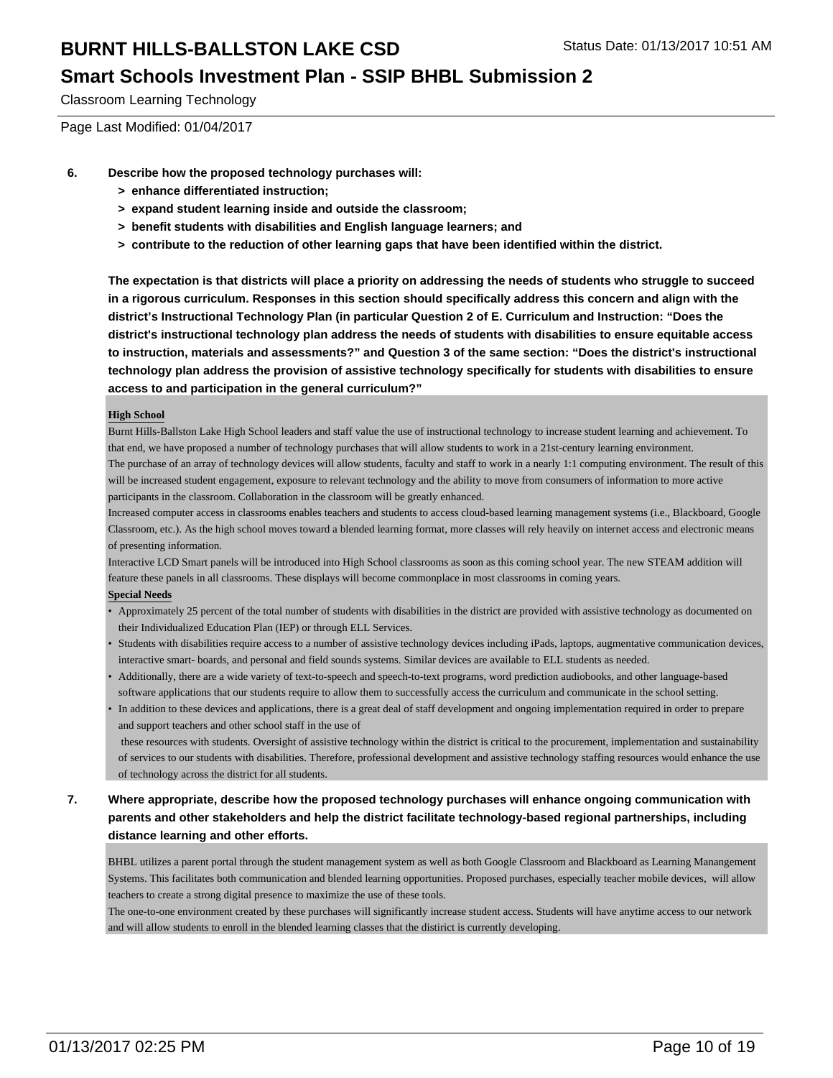### **Smart Schools Investment Plan - SSIP BHBL Submission 2**

Classroom Learning Technology

Page Last Modified: 01/04/2017

- **6. Describe how the proposed technology purchases will:**
	- **> enhance differentiated instruction;**
	- **> expand student learning inside and outside the classroom;**
	- **> benefit students with disabilities and English language learners; and**
	- **> contribute to the reduction of other learning gaps that have been identified within the district.**

**The expectation is that districts will place a priority on addressing the needs of students who struggle to succeed in a rigorous curriculum. Responses in this section should specifically address this concern and align with the district's Instructional Technology Plan (in particular Question 2 of E. Curriculum and Instruction: "Does the district's instructional technology plan address the needs of students with disabilities to ensure equitable access to instruction, materials and assessments?" and Question 3 of the same section: "Does the district's instructional technology plan address the provision of assistive technology specifically for students with disabilities to ensure access to and participation in the general curriculum?"**

#### **High School**

Burnt Hills-Ballston Lake High School leaders and staff value the use of instructional technology to increase student learning and achievement. To that end, we have proposed a number of technology purchases that will allow students to work in a 21st-century learning environment.

The purchase of an array of technology devices will allow students, faculty and staff to work in a nearly 1:1 computing environment. The result of this will be increased student engagement, exposure to relevant technology and the ability to move from consumers of information to more active participants in the classroom. Collaboration in the classroom will be greatly enhanced.

Increased computer access in classrooms enables teachers and students to access cloud-based learning management systems (i.e., Blackboard, Google Classroom, etc.). As the high school moves toward a blended learning format, more classes will rely heavily on internet access and electronic means of presenting information.

Interactive LCD Smart panels will be introduced into High School classrooms as soon as this coming school year. The new STEAM addition will feature these panels in all classrooms. These displays will become commonplace in most classrooms in coming years.

#### **Special Needs**

- Approximately 25 percent of the total number of students with disabilities in the district are provided with assistive technology as documented on their Individualized Education Plan (IEP) or through ELL Services.
- Students with disabilities require access to a number of assistive technology devices including iPads, laptops, augmentative communication devices, interactive smart- boards, and personal and field sounds systems. Similar devices are available to ELL students as needed.
- Additionally, there are a wide variety of text-to-speech and speech-to-text programs, word prediction audiobooks, and other language-based software applications that our students require to allow them to successfully access the curriculum and communicate in the school setting.
- In addition to these devices and applications, there is a great deal of staff development and ongoing implementation required in order to prepare and support teachers and other school staff in the use of

 these resources with students. Oversight of assistive technology within the district is critical to the procurement, implementation and sustainability of services to our students with disabilities. Therefore, professional development and assistive technology staffing resources would enhance the use of technology across the district for all students.

#### **7. Where appropriate, describe how the proposed technology purchases will enhance ongoing communication with parents and other stakeholders and help the district facilitate technology-based regional partnerships, including distance learning and other efforts.**

BHBL utilizes a parent portal through the student management system as well as both Google Classroom and Blackboard as Learning Manangement Systems. This facilitates both communication and blended learning opportunities. Proposed purchases, especially teacher mobile devices, will allow teachers to create a strong digital presence to maximize the use of these tools.

The one-to-one environment created by these purchases will significantly increase student access. Students will have anytime access to our network and will allow students to enroll in the blended learning classes that the distirict is currently developing.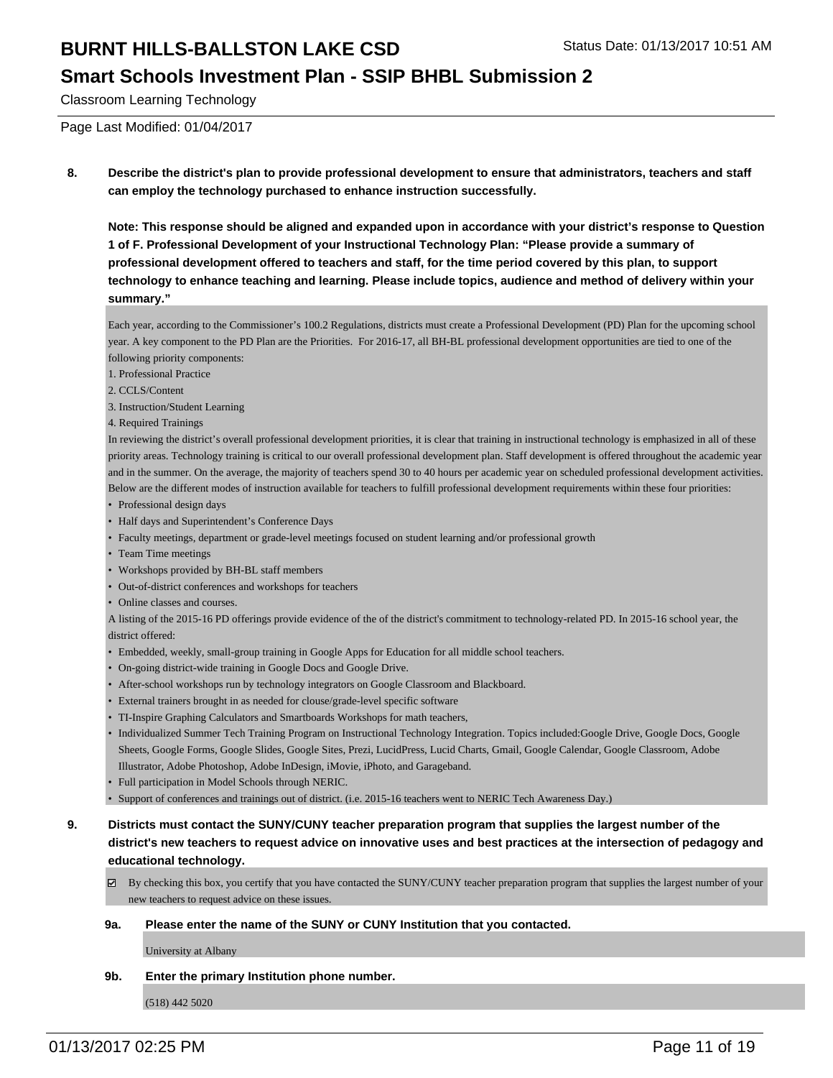### **Smart Schools Investment Plan - SSIP BHBL Submission 2**

Classroom Learning Technology

Page Last Modified: 01/04/2017

#### **8. Describe the district's plan to provide professional development to ensure that administrators, teachers and staff can employ the technology purchased to enhance instruction successfully.**

**Note: This response should be aligned and expanded upon in accordance with your district's response to Question 1 of F. Professional Development of your Instructional Technology Plan: "Please provide a summary of professional development offered to teachers and staff, for the time period covered by this plan, to support technology to enhance teaching and learning. Please include topics, audience and method of delivery within your summary."**

Each year, according to the Commissioner's 100.2 Regulations, districts must create a Professional Development (PD) Plan for the upcoming school year. A key component to the PD Plan are the Priorities. For 2016-17, all BH-BL professional development opportunities are tied to one of the following priority components:

- 1. Professional Practice
- 2. CCLS/Content
- 3. Instruction/Student Learning
- 4. Required Trainings

In reviewing the district's overall professional development priorities, it is clear that training in instructional technology is emphasized in all of these priority areas. Technology training is critical to our overall professional development plan. Staff development is offered throughout the academic year and in the summer. On the average, the majority of teachers spend 30 to 40 hours per academic year on scheduled professional development activities. Below are the different modes of instruction available for teachers to fulfill professional development requirements within these four priorities:

- Professional design days
- Half days and Superintendent's Conference Days
- Faculty meetings, department or grade-level meetings focused on student learning and/or professional growth
- Team Time meetings
- Workshops provided by BH-BL staff members
- Out-of-district conferences and workshops for teachers
- Online classes and courses.

A listing of the 2015-16 PD offerings provide evidence of the of the district's commitment to technology-related PD. In 2015-16 school year, the district offered:

- Embedded, weekly, small-group training in Google Apps for Education for all middle school teachers.
- On-going district-wide training in Google Docs and Google Drive.
- After-school workshops run by technology integrators on Google Classroom and Blackboard.
- External trainers brought in as needed for clouse/grade-level specific software
- TI-Inspire Graphing Calculators and Smartboards Workshops for math teachers,
- Individualized Summer Tech Training Program on Instructional Technology Integration. Topics included:Google Drive, Google Docs, Google Sheets, Google Forms, Google Slides, Google Sites, Prezi, LucidPress, Lucid Charts, Gmail, Google Calendar, Google Classroom, Adobe Illustrator, Adobe Photoshop, Adobe InDesign, iMovie, iPhoto, and Garageband.
- Full participation in Model Schools through NERIC.
- Support of conferences and trainings out of district. (i.e. 2015-16 teachers went to NERIC Tech Awareness Day.)
- **9. Districts must contact the SUNY/CUNY teacher preparation program that supplies the largest number of the district's new teachers to request advice on innovative uses and best practices at the intersection of pedagogy and educational technology.**
	- By checking this box, you certify that you have contacted the SUNY/CUNY teacher preparation program that supplies the largest number of your new teachers to request advice on these issues.
	- **9a. Please enter the name of the SUNY or CUNY Institution that you contacted.**

University at Albany

**9b. Enter the primary Institution phone number.**

(518) 442 5020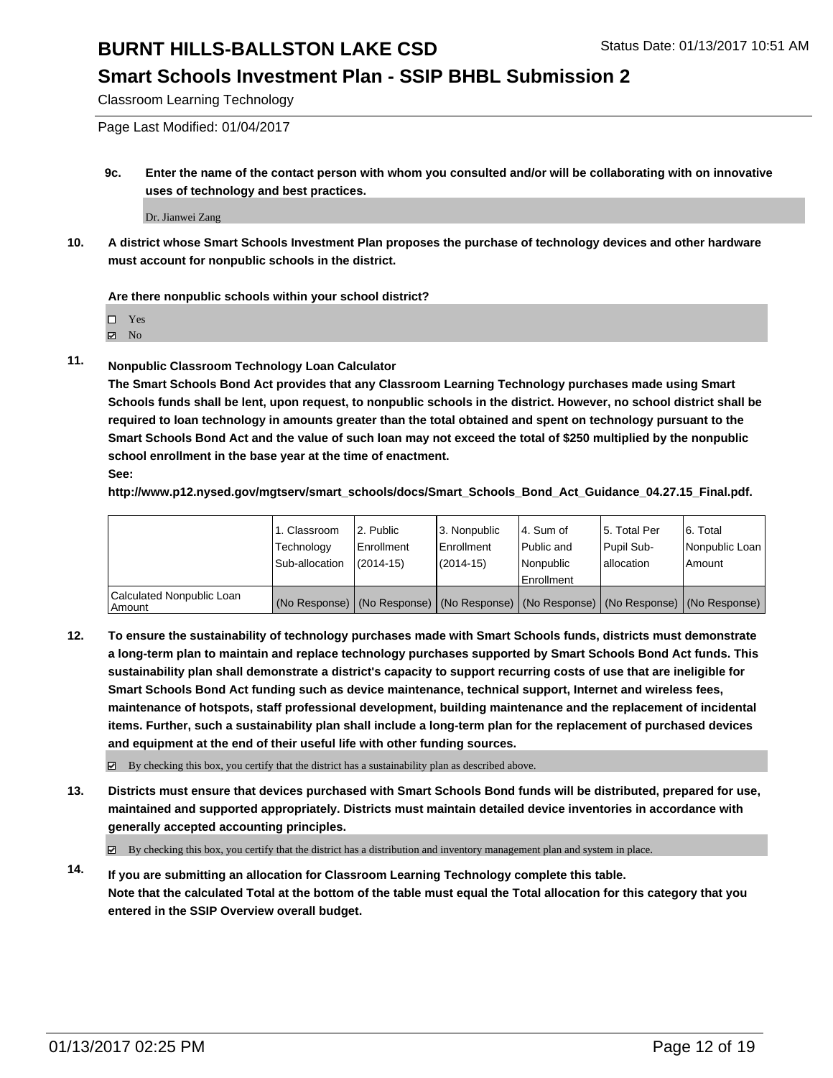### **Smart Schools Investment Plan - SSIP BHBL Submission 2**

Classroom Learning Technology

Page Last Modified: 01/04/2017

**9c. Enter the name of the contact person with whom you consulted and/or will be collaborating with on innovative uses of technology and best practices.**

Dr. Jianwei Zang

**10. A district whose Smart Schools Investment Plan proposes the purchase of technology devices and other hardware must account for nonpublic schools in the district.**

**Are there nonpublic schools within your school district?**

Yes

 $\boxtimes$  No

**11. Nonpublic Classroom Technology Loan Calculator**

**The Smart Schools Bond Act provides that any Classroom Learning Technology purchases made using Smart Schools funds shall be lent, upon request, to nonpublic schools in the district. However, no school district shall be required to loan technology in amounts greater than the total obtained and spent on technology pursuant to the Smart Schools Bond Act and the value of such loan may not exceed the total of \$250 multiplied by the nonpublic school enrollment in the base year at the time of enactment. See:**

**http://www.p12.nysed.gov/mgtserv/smart\_schools/docs/Smart\_Schools\_Bond\_Act\_Guidance\_04.27.15\_Final.pdf.**

|                                       | 1. Classroom<br>Technology<br>Sub-allocation | 2. Public<br>Enrollment<br>$(2014 - 15)$ | 3. Nonpublic<br><b>Enrollment</b><br>(2014-15)                                                | l 4. Sum of<br>Public and<br>Nonpublic<br>Enrollment | 15. Total Per<br>Pupil Sub-<br>lallocation | 6. Total<br>Nonpublic Loan  <br>Amount |
|---------------------------------------|----------------------------------------------|------------------------------------------|-----------------------------------------------------------------------------------------------|------------------------------------------------------|--------------------------------------------|----------------------------------------|
| Calculated Nonpublic Loan<br>  Amount |                                              |                                          | (No Response)   (No Response)   (No Response)   (No Response)   (No Response)   (No Response) |                                                      |                                            |                                        |

**12. To ensure the sustainability of technology purchases made with Smart Schools funds, districts must demonstrate a long-term plan to maintain and replace technology purchases supported by Smart Schools Bond Act funds. This sustainability plan shall demonstrate a district's capacity to support recurring costs of use that are ineligible for Smart Schools Bond Act funding such as device maintenance, technical support, Internet and wireless fees, maintenance of hotspots, staff professional development, building maintenance and the replacement of incidental items. Further, such a sustainability plan shall include a long-term plan for the replacement of purchased devices and equipment at the end of their useful life with other funding sources.**

 $\boxtimes$  By checking this box, you certify that the district has a sustainability plan as described above.

**13. Districts must ensure that devices purchased with Smart Schools Bond funds will be distributed, prepared for use, maintained and supported appropriately. Districts must maintain detailed device inventories in accordance with generally accepted accounting principles.**

By checking this box, you certify that the district has a distribution and inventory management plan and system in place.

**14. If you are submitting an allocation for Classroom Learning Technology complete this table. Note that the calculated Total at the bottom of the table must equal the Total allocation for this category that you entered in the SSIP Overview overall budget.**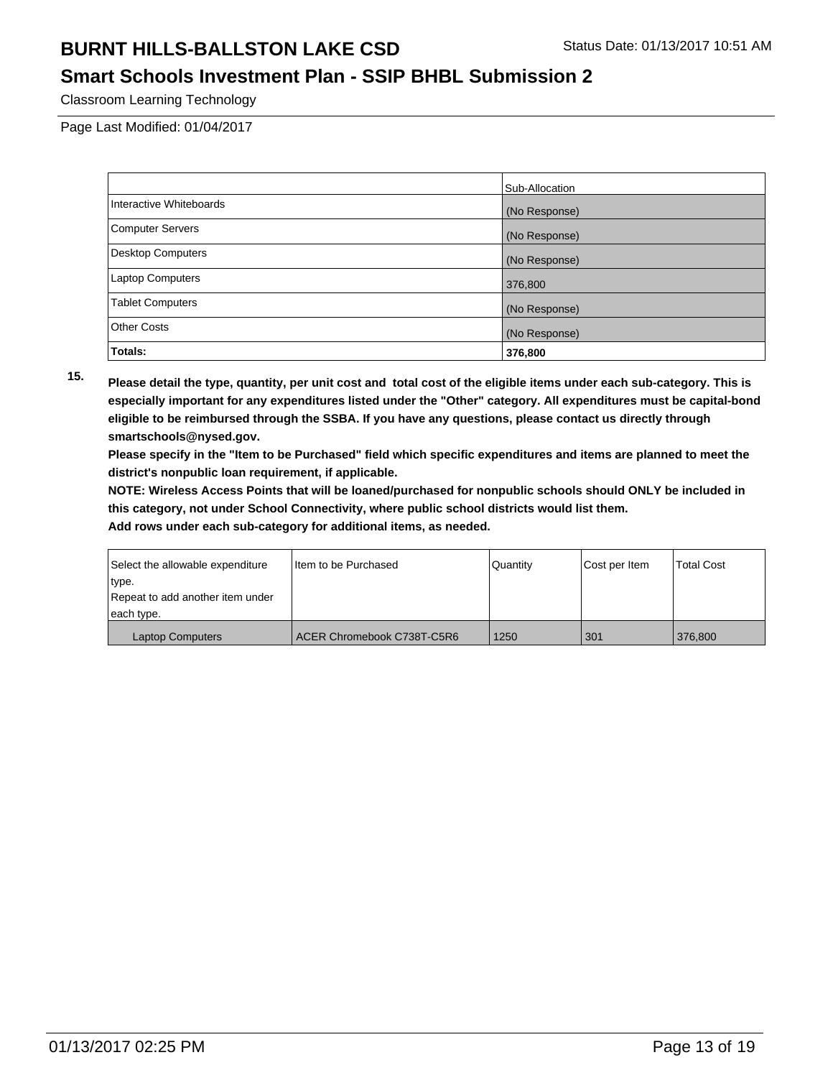### **Smart Schools Investment Plan - SSIP BHBL Submission 2**

Classroom Learning Technology

Page Last Modified: 01/04/2017

|                          | Sub-Allocation |
|--------------------------|----------------|
| Interactive Whiteboards  | (No Response)  |
| <b>Computer Servers</b>  | (No Response)  |
| <b>Desktop Computers</b> | (No Response)  |
| <b>Laptop Computers</b>  | 376,800        |
| <b>Tablet Computers</b>  | (No Response)  |
| <b>Other Costs</b>       | (No Response)  |
| Totals:                  | 376,800        |

**15. Please detail the type, quantity, per unit cost and total cost of the eligible items under each sub-category. This is especially important for any expenditures listed under the "Other" category. All expenditures must be capital-bond eligible to be reimbursed through the SSBA. If you have any questions, please contact us directly through smartschools@nysed.gov.**

**Please specify in the "Item to be Purchased" field which specific expenditures and items are planned to meet the district's nonpublic loan requirement, if applicable.**

**NOTE: Wireless Access Points that will be loaned/purchased for nonpublic schools should ONLY be included in this category, not under School Connectivity, where public school districts would list them.**

| Select the allowable expenditure | Item to be Purchased       | Quantity | Cost per Item | <b>Total Cost</b> |
|----------------------------------|----------------------------|----------|---------------|-------------------|
| ∣type.                           |                            |          |               |                   |
| Repeat to add another item under |                            |          |               |                   |
| each type.                       |                            |          |               |                   |
| <b>Laptop Computers</b>          | ACER Chromebook C738T-C5R6 | 1250     | 301           | 376,800           |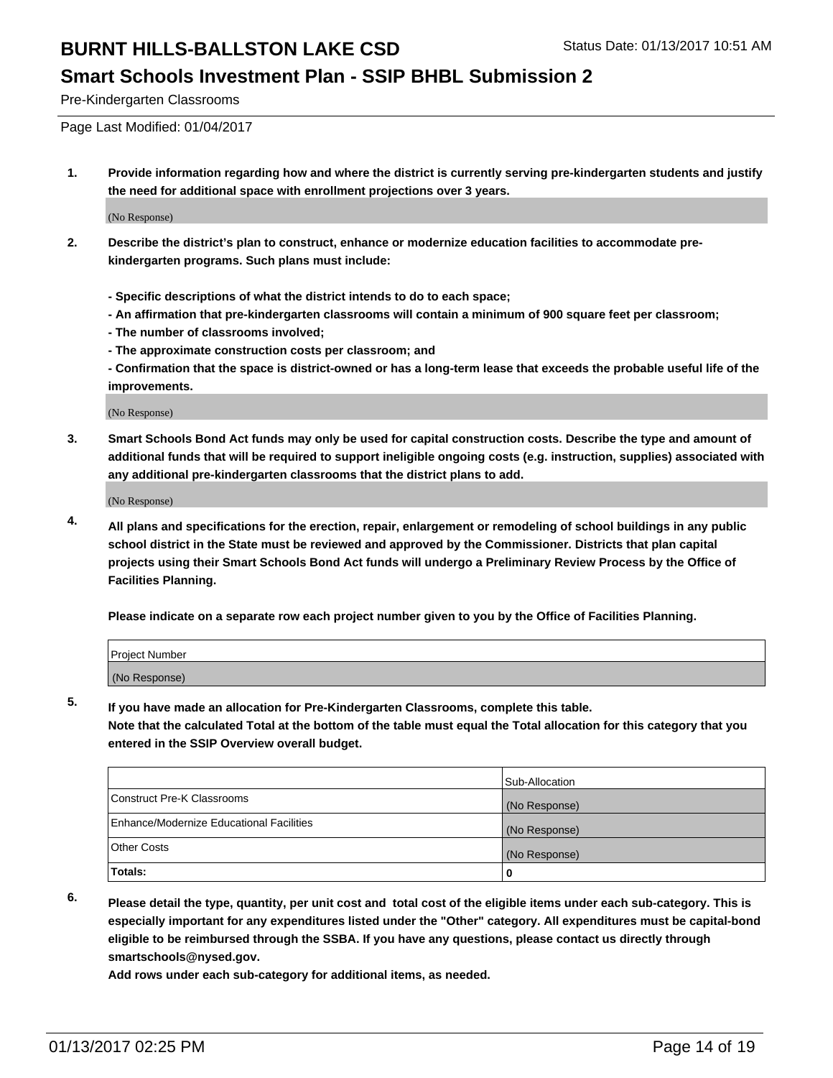### **Smart Schools Investment Plan - SSIP BHBL Submission 2**

Pre-Kindergarten Classrooms

Page Last Modified: 01/04/2017

**1. Provide information regarding how and where the district is currently serving pre-kindergarten students and justify the need for additional space with enrollment projections over 3 years.**

(No Response)

- **2. Describe the district's plan to construct, enhance or modernize education facilities to accommodate prekindergarten programs. Such plans must include:**
	- **Specific descriptions of what the district intends to do to each space;**
	- **An affirmation that pre-kindergarten classrooms will contain a minimum of 900 square feet per classroom;**
	- **The number of classrooms involved;**
	- **The approximate construction costs per classroom; and**
	- **Confirmation that the space is district-owned or has a long-term lease that exceeds the probable useful life of the improvements.**

(No Response)

**3. Smart Schools Bond Act funds may only be used for capital construction costs. Describe the type and amount of additional funds that will be required to support ineligible ongoing costs (e.g. instruction, supplies) associated with any additional pre-kindergarten classrooms that the district plans to add.**

(No Response)

**4. All plans and specifications for the erection, repair, enlargement or remodeling of school buildings in any public school district in the State must be reviewed and approved by the Commissioner. Districts that plan capital projects using their Smart Schools Bond Act funds will undergo a Preliminary Review Process by the Office of Facilities Planning.**

**Please indicate on a separate row each project number given to you by the Office of Facilities Planning.**

| Project Number |  |  |
|----------------|--|--|
| (No Response)  |  |  |

**5. If you have made an allocation for Pre-Kindergarten Classrooms, complete this table.**

**Note that the calculated Total at the bottom of the table must equal the Total allocation for this category that you entered in the SSIP Overview overall budget.**

|                                          | Sub-Allocation |
|------------------------------------------|----------------|
| Construct Pre-K Classrooms               | (No Response)  |
| Enhance/Modernize Educational Facilities | (No Response)  |
| Other Costs                              | (No Response)  |
| Totals:                                  |                |

**6. Please detail the type, quantity, per unit cost and total cost of the eligible items under each sub-category. This is especially important for any expenditures listed under the "Other" category. All expenditures must be capital-bond eligible to be reimbursed through the SSBA. If you have any questions, please contact us directly through smartschools@nysed.gov.**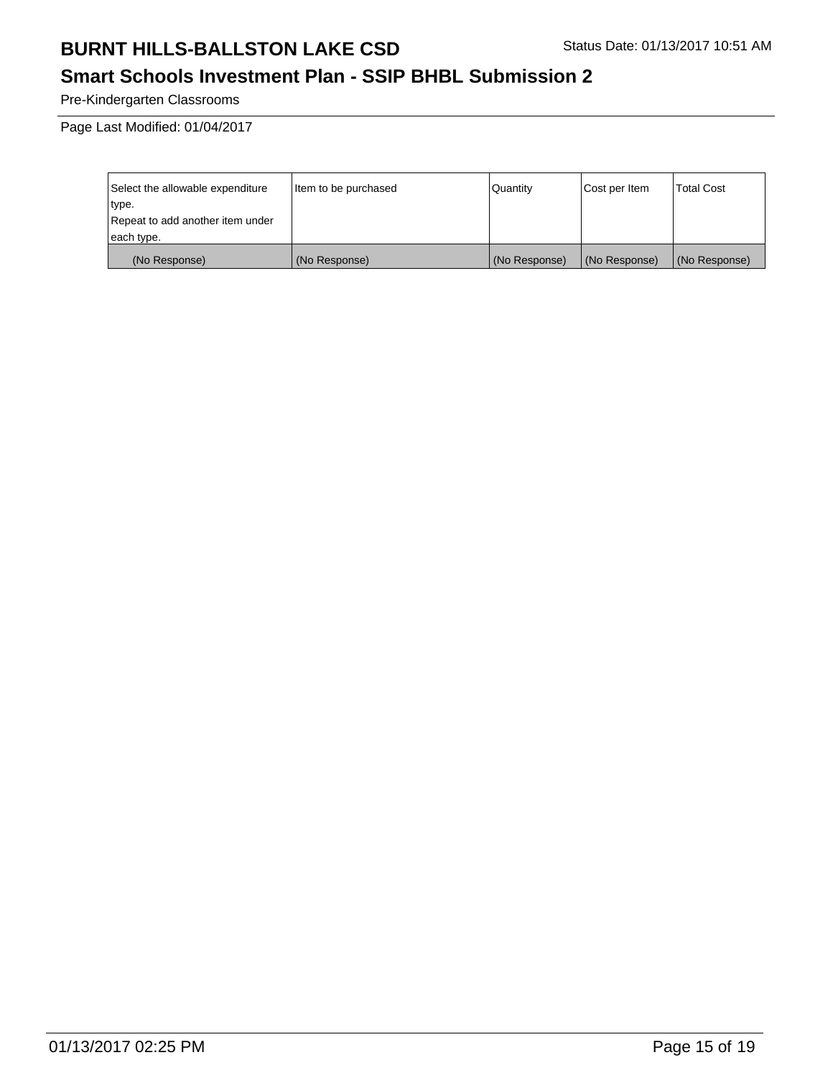# **Smart Schools Investment Plan - SSIP BHBL Submission 2**

Pre-Kindergarten Classrooms

Page Last Modified: 01/04/2017

| Select the allowable expenditure | Item to be purchased | Quantity      | Cost per Item | Total Cost    |
|----------------------------------|----------------------|---------------|---------------|---------------|
| type.                            |                      |               |               |               |
| Repeat to add another item under |                      |               |               |               |
| each type.                       |                      |               |               |               |
| (No Response)                    | (No Response)        | (No Response) | (No Response) | (No Response) |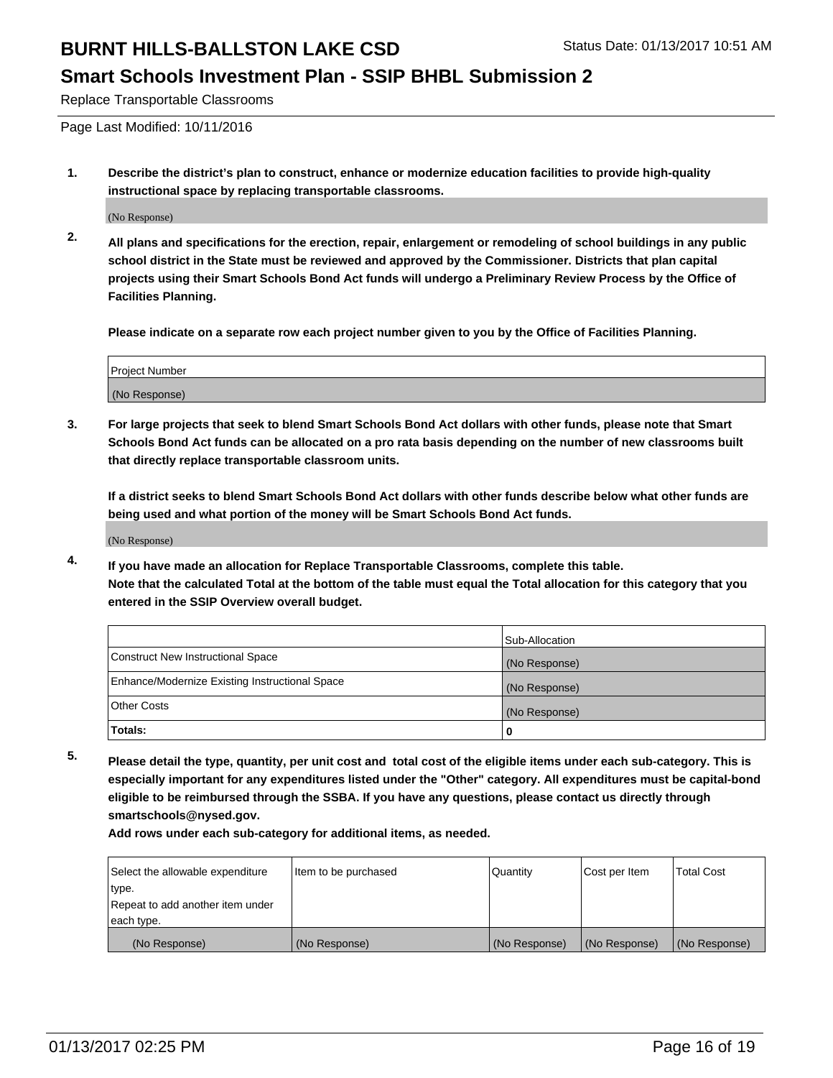### **Smart Schools Investment Plan - SSIP BHBL Submission 2**

Replace Transportable Classrooms

Page Last Modified: 10/11/2016

**1. Describe the district's plan to construct, enhance or modernize education facilities to provide high-quality instructional space by replacing transportable classrooms.**

(No Response)

**2. All plans and specifications for the erection, repair, enlargement or remodeling of school buildings in any public school district in the State must be reviewed and approved by the Commissioner. Districts that plan capital projects using their Smart Schools Bond Act funds will undergo a Preliminary Review Process by the Office of Facilities Planning.**

**Please indicate on a separate row each project number given to you by the Office of Facilities Planning.**

| <b>Project Number</b> |  |
|-----------------------|--|
| (No Response)         |  |

**3. For large projects that seek to blend Smart Schools Bond Act dollars with other funds, please note that Smart Schools Bond Act funds can be allocated on a pro rata basis depending on the number of new classrooms built that directly replace transportable classroom units.**

**If a district seeks to blend Smart Schools Bond Act dollars with other funds describe below what other funds are being used and what portion of the money will be Smart Schools Bond Act funds.**

(No Response)

**4. If you have made an allocation for Replace Transportable Classrooms, complete this table. Note that the calculated Total at the bottom of the table must equal the Total allocation for this category that you entered in the SSIP Overview overall budget.**

|                                                | Sub-Allocation |
|------------------------------------------------|----------------|
| Construct New Instructional Space              | (No Response)  |
| Enhance/Modernize Existing Instructional Space | (No Response)  |
| <b>Other Costs</b>                             | (No Response)  |
| Totals:                                        |                |

**5. Please detail the type, quantity, per unit cost and total cost of the eligible items under each sub-category. This is especially important for any expenditures listed under the "Other" category. All expenditures must be capital-bond eligible to be reimbursed through the SSBA. If you have any questions, please contact us directly through smartschools@nysed.gov.**

| Select the allowable expenditure | Item to be purchased | Quantity      | Cost per Item | <b>Total Cost</b> |
|----------------------------------|----------------------|---------------|---------------|-------------------|
| type.                            |                      |               |               |                   |
| Repeat to add another item under |                      |               |               |                   |
| each type.                       |                      |               |               |                   |
| (No Response)                    | (No Response)        | (No Response) | (No Response) | (No Response)     |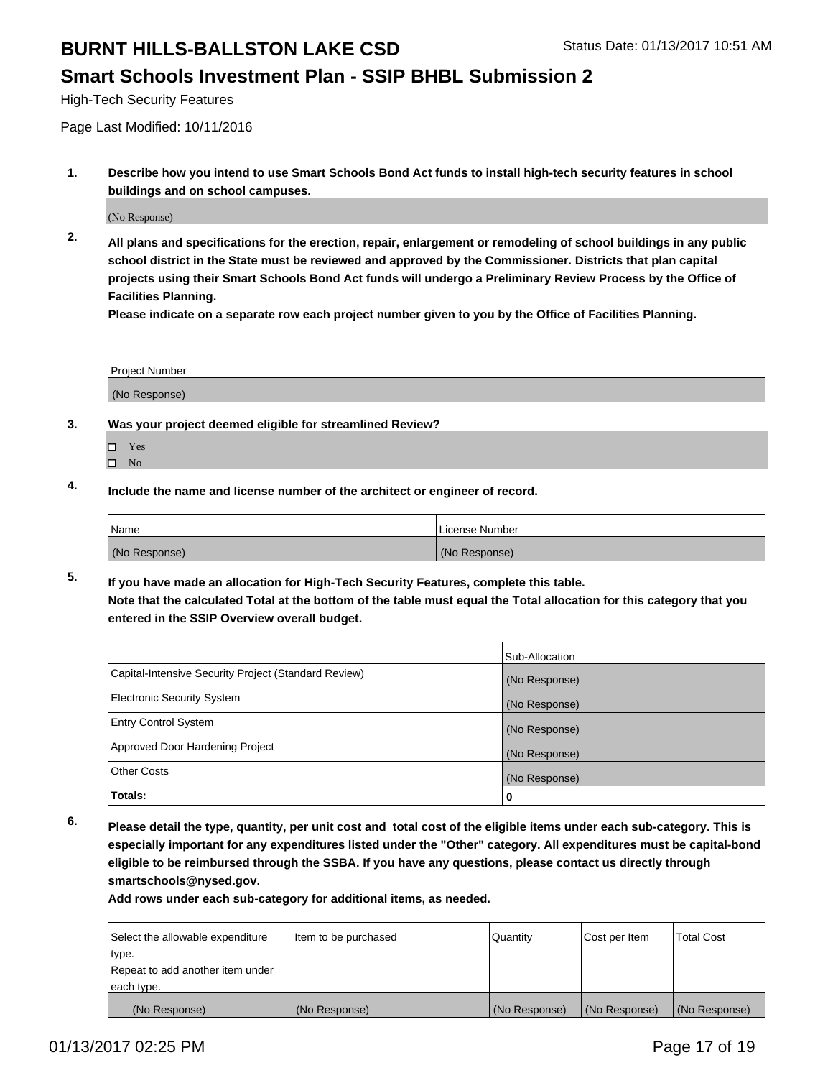### **Smart Schools Investment Plan - SSIP BHBL Submission 2**

High-Tech Security Features

Page Last Modified: 10/11/2016

**1. Describe how you intend to use Smart Schools Bond Act funds to install high-tech security features in school buildings and on school campuses.**

(No Response)

**2. All plans and specifications for the erection, repair, enlargement or remodeling of school buildings in any public school district in the State must be reviewed and approved by the Commissioner. Districts that plan capital projects using their Smart Schools Bond Act funds will undergo a Preliminary Review Process by the Office of Facilities Planning.** 

**Please indicate on a separate row each project number given to you by the Office of Facilities Planning.**

| Project Number |  |
|----------------|--|
| (No Response)  |  |

- **3. Was your project deemed eligible for streamlined Review?**
	- □ Yes
	- $\square$  No
- **4. Include the name and license number of the architect or engineer of record.**

| Name          | License Number |
|---------------|----------------|
| (No Response) | (No Response)  |

**5. If you have made an allocation for High-Tech Security Features, complete this table. Note that the calculated Total at the bottom of the table must equal the Total allocation for this category that you entered in the SSIP Overview overall budget.**

|                                                      | Sub-Allocation |
|------------------------------------------------------|----------------|
| Capital-Intensive Security Project (Standard Review) | (No Response)  |
| <b>Electronic Security System</b>                    | (No Response)  |
| <b>Entry Control System</b>                          | (No Response)  |
| Approved Door Hardening Project                      | (No Response)  |
| <b>Other Costs</b>                                   | (No Response)  |
| Totals:                                              | 0              |

**6. Please detail the type, quantity, per unit cost and total cost of the eligible items under each sub-category. This is especially important for any expenditures listed under the "Other" category. All expenditures must be capital-bond eligible to be reimbursed through the SSBA. If you have any questions, please contact us directly through smartschools@nysed.gov.**

| Select the allowable expenditure | Item to be purchased | <b>Quantity</b> | Cost per Item | <b>Total Cost</b> |
|----------------------------------|----------------------|-----------------|---------------|-------------------|
| type.                            |                      |                 |               |                   |
| Repeat to add another item under |                      |                 |               |                   |
| each type.                       |                      |                 |               |                   |
| (No Response)                    | (No Response)        | (No Response)   | (No Response) | (No Response)     |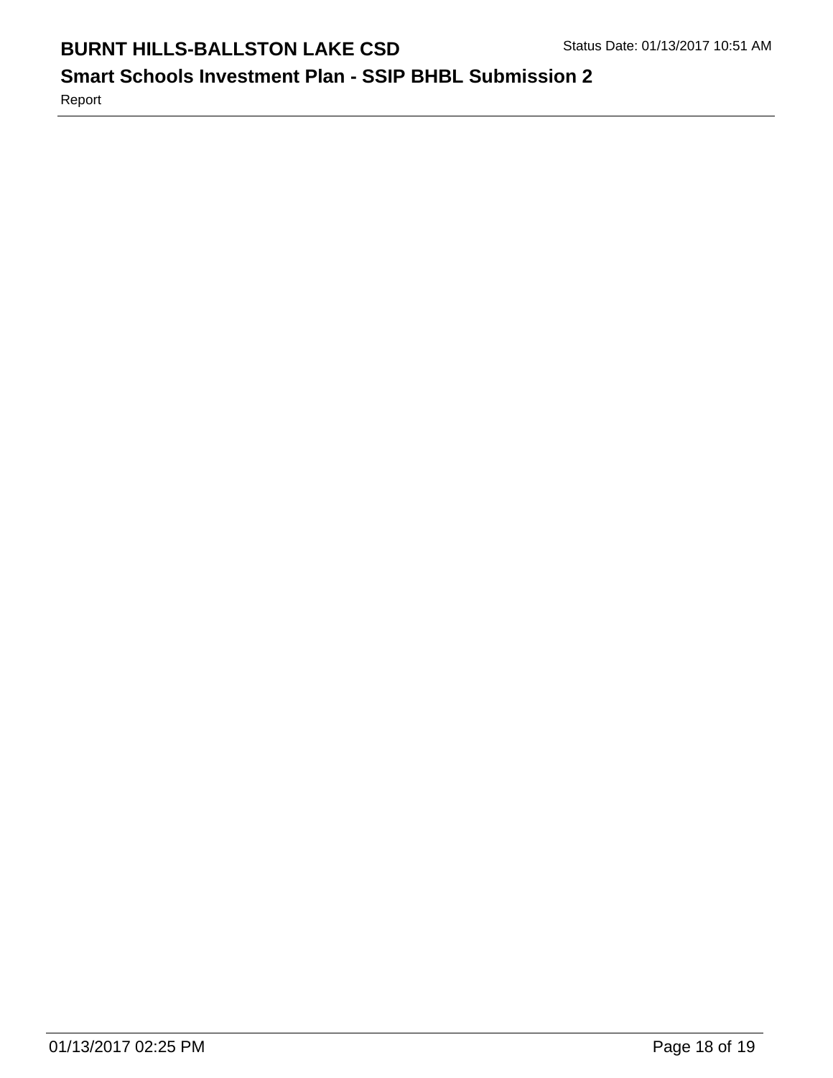# **Smart Schools Investment Plan - SSIP BHBL Submission 2**

Report